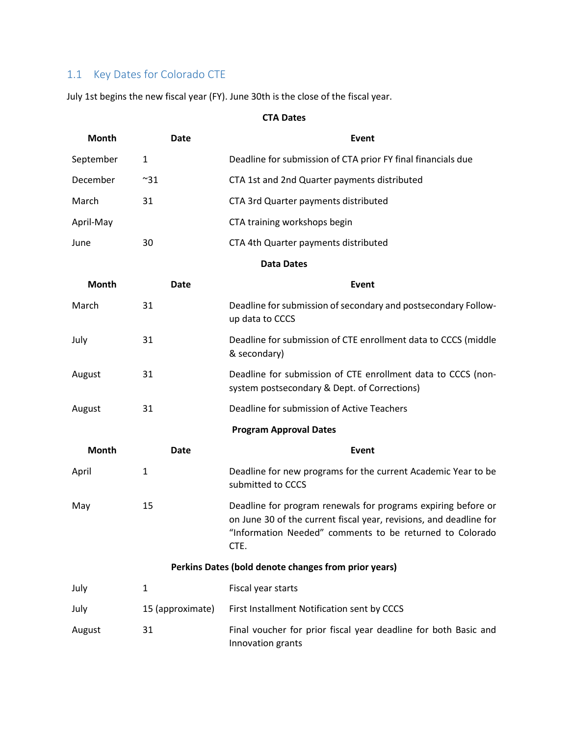## 1.1 Key Dates for Colorado CTE

July 1st begins the new fiscal year (FY). June 30th is the close of the fiscal year.

## **CTA Dates**

| <b>Month</b>                                         | <b>Date</b>      | Event                                                                                                                                                                                                   |  |
|------------------------------------------------------|------------------|---------------------------------------------------------------------------------------------------------------------------------------------------------------------------------------------------------|--|
| September                                            | $\mathbf{1}$     | Deadline for submission of CTA prior FY final financials due                                                                                                                                            |  |
| December                                             | $~^{\sim}31$     | CTA 1st and 2nd Quarter payments distributed                                                                                                                                                            |  |
| March                                                | 31               | CTA 3rd Quarter payments distributed                                                                                                                                                                    |  |
| April-May                                            |                  | CTA training workshops begin                                                                                                                                                                            |  |
| June                                                 | 30               | CTA 4th Quarter payments distributed                                                                                                                                                                    |  |
| <b>Data Dates</b>                                    |                  |                                                                                                                                                                                                         |  |
| <b>Month</b>                                         | <b>Date</b>      | Event                                                                                                                                                                                                   |  |
| March                                                | 31               | Deadline for submission of secondary and postsecondary Follow-<br>up data to CCCS                                                                                                                       |  |
| July                                                 | 31               | Deadline for submission of CTE enrollment data to CCCS (middle<br>& secondary)                                                                                                                          |  |
| August                                               | 31               | Deadline for submission of CTE enrollment data to CCCS (non-<br>system postsecondary & Dept. of Corrections)                                                                                            |  |
| August                                               | 31               | Deadline for submission of Active Teachers                                                                                                                                                              |  |
| <b>Program Approval Dates</b>                        |                  |                                                                                                                                                                                                         |  |
| <b>Month</b>                                         | Date             | Event                                                                                                                                                                                                   |  |
| April                                                | $\mathbf{1}$     | Deadline for new programs for the current Academic Year to be<br>submitted to CCCS                                                                                                                      |  |
| May                                                  | 15               | Deadline for program renewals for programs expiring before or<br>on June 30 of the current fiscal year, revisions, and deadline for<br>"Information Needed" comments to be returned to Colorado<br>CTE. |  |
| Perkins Dates (bold denote changes from prior years) |                  |                                                                                                                                                                                                         |  |
| July                                                 | $\mathbf{1}$     | Fiscal year starts                                                                                                                                                                                      |  |
| July                                                 | 15 (approximate) | First Installment Notification sent by CCCS                                                                                                                                                             |  |
| August                                               | 31               | Final voucher for prior fiscal year deadline for both Basic and<br>Innovation grants                                                                                                                    |  |